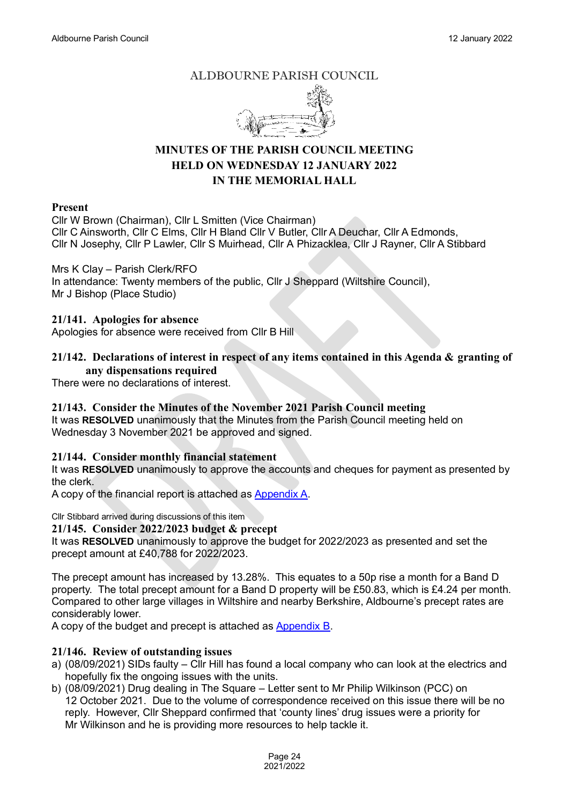## ALDBOURNE PARISH COUNCIL



# **MINUTES OF THE PARISH COUNCIL MEETING HELD ON WEDNESDAY 12 JANUARY 2022 IN THE MEMORIAL HALL**

#### **Present**

Cllr W Brown (Chairman), Cllr L Smitten (Vice Chairman) Cllr C Ainsworth, Cllr C Elms, Cllr H Bland Cllr V Butler, Cllr A Deuchar, Cllr A Edmonds, Cllr N Josephy, Cllr P Lawler, Cllr S Muirhead, Cllr A Phizacklea, Cllr J Rayner, Cllr A Stibbard

Mrs K Clay – Parish Clerk/RFO

In attendance: Twenty members of the public, Cllr J Sheppard (Wiltshire Council), Mr J Bishop (Place Studio)

#### **21/141. Apologies for absence**

Apologies for absence were received from Cllr B Hill

## **21/142. Declarations of interest in respect of any items contained in this Agenda & granting of any dispensations required**

There were no declarations of interest.

## **21/143. Consider the Minutes of the November 2021 Parish Council meeting**

It was **RESOLVED** unanimously that the Minutes from the Parish Council meeting held on Wednesday 3 November 2021 be approved and signed.

## **21/144. Consider monthly financial statement**

It was **RESOLVED** unanimously to approve the accounts and cheques for payment as presented by the clerk.

A copy of the financial report is attached as [Appendix A.](https://www.aldbourne.net/aldbourne-parish-council/wp-content/uploads/PC/Meetings/Finance/Jan-12-2022-Accs.pdf)

Cllr Stibbard arrived during discussions of this item

## **21/145. Consider 2022/2023 budget & precept**

It was **RESOLVED** unanimously to approve the budget for 2022/2023 as presented and set the precept amount at £40,788 for 2022/2023.

The precept amount has increased by 13.28%. This equates to a 50p rise a month for a Band D property. The total precept amount for a Band D property will be £50.83, which is £4.24 per month. Compared to other large villages in Wiltshire and nearby Berkshire, Aldbourne's precept rates are considerably lower.

A copy of the budget and precept is attached as [Appendix B.](https://www.aldbourne.net/aldbourne-parish-council/wp-content/uploads/PC/Meetings/Finance/Budget-Precept-2022-2023-Final.pdf)

## **21/146. Review of outstanding issues**

- a) (08/09/2021) SIDs faulty Cllr Hill has found a local company who can look at the electrics and hopefully fix the ongoing issues with the units.
- b) (08/09/2021) Drug dealing in The Square Letter sent to Mr Philip Wilkinson (PCC) on 12 October 2021. Due to the volume of correspondence received on this issue there will be no reply. However, Cllr Sheppard confirmed that 'county lines' drug issues were a priority for Mr Wilkinson and he is providing more resources to help tackle it.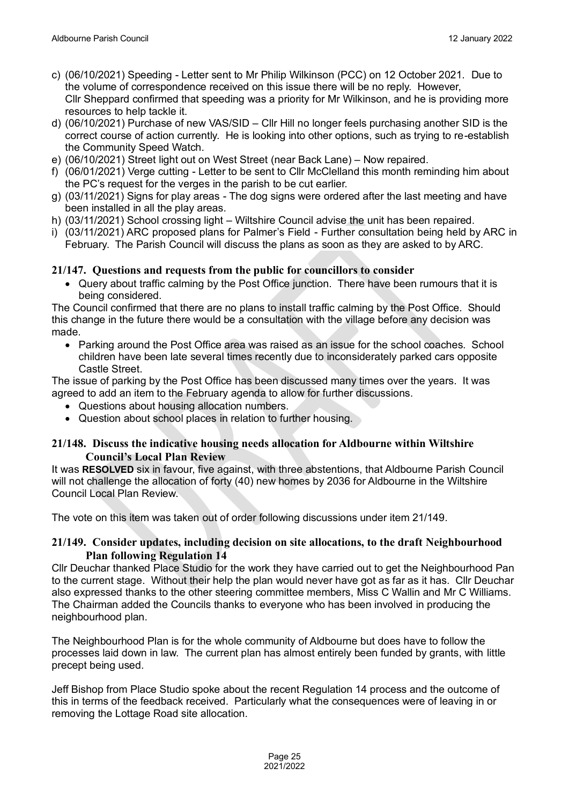- c) (06/10/2021) Speeding Letter sent to Mr Philip Wilkinson (PCC) on 12 October 2021. Due to the volume of correspondence received on this issue there will be no reply. However, Cllr Sheppard confirmed that speeding was a priority for Mr Wilkinson, and he is providing more resources to help tackle it.
- d) (06/10/2021) Purchase of new VAS/SID Cllr Hill no longer feels purchasing another SID is the correct course of action currently. He is looking into other options, such as trying to re-establish the Community Speed Watch.
- e) (06/10/2021) Street light out on West Street (near Back Lane) Now repaired.
- f) (06/01/2021) Verge cutting Letter to be sent to Cllr McClelland this month reminding him about the PC's request for the verges in the parish to be cut earlier.
- g) (03/11/2021) Signs for play areas The dog signs were ordered after the last meeting and have been installed in all the play areas.
- h) (03/11/2021) School crossing light Wiltshire Council advise the unit has been repaired.
- i) (03/11/2021) ARC proposed plans for Palmer's Field Further consultation being held by ARC in February. The Parish Council will discuss the plans as soon as they are asked to by ARC.

#### **21/147. Questions and requests from the public for councillors to consider**

• Query about traffic calming by the Post Office junction. There have been rumours that it is being considered.

The Council confirmed that there are no plans to install traffic calming by the Post Office. Should this change in the future there would be a consultation with the village before any decision was made.

• Parking around the Post Office area was raised as an issue for the school coaches. School children have been late several times recently due to inconsiderately parked cars opposite Castle Street.

The issue of parking by the Post Office has been discussed many times over the years. It was agreed to add an item to the February agenda to allow for further discussions.

- Questions about housing allocation numbers.
- Question about school places in relation to further housing.

## **21/148. Discuss the indicative housing needs allocation for Aldbourne within Wiltshire Council's Local Plan Review**

It was **RESOLVED** six in favour, five against, with three abstentions, that Aldbourne Parish Council will not challenge the allocation of forty (40) new homes by 2036 for Aldbourne in the Wiltshire Council Local Plan Review.

The vote on this item was taken out of order following discussions under item 21/149.

## **21/149. Consider updates, including decision on site allocations, to the draft Neighbourhood Plan following Regulation 14**

Cllr Deuchar thanked Place Studio for the work they have carried out to get the Neighbourhood Pan to the current stage. Without their help the plan would never have got as far as it has. Cllr Deuchar also expressed thanks to the other steering committee members, Miss C Wallin and Mr C Williams. The Chairman added the Councils thanks to everyone who has been involved in producing the neighbourhood plan.

The Neighbourhood Plan is for the whole community of Aldbourne but does have to follow the processes laid down in law. The current plan has almost entirely been funded by grants, with little precept being used.

Jeff Bishop from Place Studio spoke about the recent Regulation 14 process and the outcome of this in terms of the feedback received. Particularly what the consequences were of leaving in or removing the Lottage Road site allocation.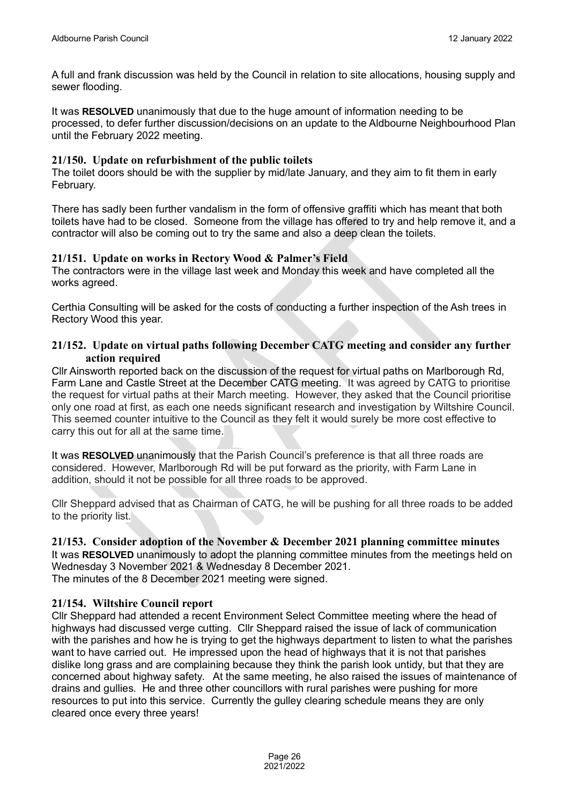A full and frank discussion was held by the Council in relation to site allocations, housing supply and sewer flooding.

It was **RESOLVED** unanimously that due to the huge amount of information needing to be processed, to defer further discussion/decisions on an update to the Aldbourne Neighbourhood Plan until the February 2022 meeting.

## **21/150. Update on refurbishment of the public toilets**

The toilet doors should be with the supplier by mid/late January, and they aim to fit them in early February.

There has sadly been further vandalism in the form of offensive graffiti which has meant that both toilets have had to be closed. Someone from the village has offered to try and help remove it, and a contractor will also be coming out to try the same and also a deep clean the toilets.

#### **21/151. Update on works in Rectory Wood & Palmer's Field**

The contractors were in the village last week and Monday this week and have completed all the works agreed.

Certhia Consulting will be asked for the costs of conducting a further inspection of the Ash trees in Rectory Wood this year.

## **21/152. Update on virtual paths following December CATG meeting and consider any further action required**

Cllr Ainsworth reported back on the discussion of the request for virtual paths on Marlborough Rd, Farm Lane and Castle Street at the December CATG meeting. It was agreed by CATG to prioritise the request for virtual paths at their March meeting. However, they asked that the Council prioritise only one road at first, as each one needs significant research and investigation by Wiltshire Council. This seemed counter intuitive to the Council as they felt it would surely be more cost effective to carry this out for all at the same time.

It was **RESOLVED** unanimously that the Parish Council's preference is that all three roads are considered. However, Marlborough Rd will be put forward as the priority, with Farm Lane in addition, should it not be possible for all three roads to be approved.

Cllr Sheppard advised that as Chairman of CATG, he will be pushing for all three roads to be added to the priority list.

## **21/153. Consider adoption of the November & December 2021 planning committee minutes**

It was **RESOLVED** unanimously to adopt the planning committee minutes from the meetings held on Wednesday 3 November 2021 & Wednesday 8 December 2021.

The minutes of the 8 December 2021 meeting were signed.

## **21/154. Wiltshire Council report**

Cllr Sheppard had attended a recent Environment Select Committee meeting where the head of highways had discussed verge cutting. Cllr Sheppard raised the issue of lack of communication with the parishes and how he is trying to get the highways department to listen to what the parishes want to have carried out. He impressed upon the head of highways that it is not that parishes dislike long grass and are complaining because they think the parish look untidy, but that they are concerned about highway safety. At the same meeting, he also raised the issues of maintenance of drains and gullies. He and three other councillors with rural parishes were pushing for more resources to put into this service. Currently the gulley clearing schedule means they are only cleared once every three years!